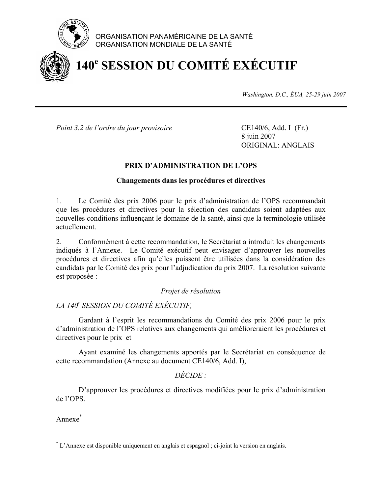

## ORGANISATION PANAMÉRICAINE DE LA SANTÉ ORGANISATION MONDIALE DE LA SANTÉ

# **140<sup>e</sup> SESSION DU COMITÉ EXÉCUTIF**

*Washington, D.C., ÉUA, 25-29 juin 2007*

*Point 3.2 de l'ordre du jour provisoire* CE140/6, Add. I (Fr.)

 8 juin 2007 ORIGINAL: ANGLAIS

## **PRIX D'ADMINISTRATION DE L'OPS**

### **Changements dans les procédures et directives**

1. Le Comité des prix 2006 pour le prix d'administration de l'OPS recommandait que les procédures et directives pour la sélection des candidats soient adaptées aux nouvelles conditions influençant le domaine de la santé, ainsi que la terminologie utilisée actuellement.

2. Conformément à cette recommandation, le Secrétariat a introduit les changements indiqués à l'Annexe. Le Comité exécutif peut envisager d'approuver les nouvelles procédures et directives afin qu'elles puissent être utilisées dans la considération des candidats par le Comité des prix pour l'adjudication du prix 2007. La résolution suivante est proposée :

#### *Projet de résolution*

# *LA 140e SESSION DU COMITÉ EXÉCUTIF,*

 Gardant à l'esprit les recommandations du Comité des prix 2006 pour le prix d'administration de l'OPS relatives aux changements qui amélioreraient les procédures et directives pour le prix et

 Ayant examiné les changements apportés par le Secrétariat en conséquence de cette recommandation (Annexe au document CE140/6, Add. I),

## *DÉCIDE :*

D'approuver les procédures et directives modifiées pour le prix d'administration de l'OPS.

Annexe\*

 $\overline{a}$ 

<sup>\*</sup> L'Annexe est disponible uniquement en anglais et espagnol ; ci-joint la version en anglais.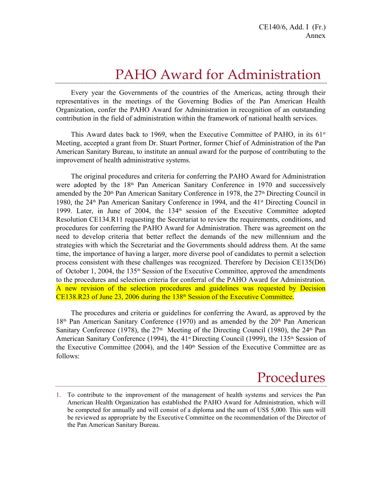# PAHO Award for Administration

Every year the Governments of the countries of the Americas, acting through their representatives in the meetings of the Governing Bodies of the Pan American Health Organization, confer the PAHO Award for Administration in recognition of an outstanding contribution in the field of administration within the framework of national health services.

This Award dates back to 1969, when the Executive Committee of PAHO, in its  $61<sup>st</sup>$ Meeting, accepted a grant from Dr. Stuart Portner, former Chief of Administration of the Pan American Sanitary Bureau, to institute an annual award for the purpose of contributing to the improvement of health administrative systems.

The original procedures and criteria for conferring the PAHO Award for Administration were adopted by the 18<sup>th</sup> Pan American Sanitary Conference in 1970 and successively amended by the 20<sup>th</sup> Pan American Sanitary Conference in 1978, the 27<sup>th</sup> Directing Council in 1980, the 24<sup>th</sup> Pan American Sanitary Conference in 1994, and the 41<sup>st</sup> Directing Council in 1999. Later, in June of 2004, the 134<sup>th</sup> session of the Executive Committee adopted Resolution CE134.R11 requesting the Secretariat to review the requirements, conditions, and procedures for conferring the PAHO Award for Administration. There was agreement on the need to develop criteria that better reflect the demands of the new millennium and the strategies with which the Secretariat and the Governments should address them. At the same time, the importance of having a larger, more diverse pool of candidates to permit a selection process consistent with these challenges was recognized. Therefore by Decision CE135(D6) of October 1, 2004, the 135th Session of the Executive Committee, approved the amendments to the procedures and selection criteria for conferral of the PAHO Award for Administration. A new revision of the selection procedures and guidelines was requested by Decision  $CE138.R23$  of June 23, 2006 during the  $138<sup>th</sup>$  Session of the Executive Committee.

The procedures and criteria or guidelines for conferring the Award, as approved by the  $18<sup>th</sup>$  Pan American Sanitary Conference (1970) and as amended by the  $20<sup>th</sup>$  Pan American Sanitary Conference (1978), the  $27<sup>th</sup>$  Meeting of the Directing Council (1980), the  $24<sup>th</sup>$  Pan American Sanitary Conference (1994), the 41<sup>st</sup> Directing Council (1999), the 135<sup>th</sup> Session of the Executive Committee  $(2004)$ , and the 140<sup>th</sup> Session of the Executive Committee are as follows:

# Procedures

<sup>1.</sup> To contribute to the improvement of the management of health systems and services the Pan American Health Organization has established the PAHO Award for Administration, which will be competed for annually and will consist of a diploma and the sum of US\$ 5,000. This sum will be reviewed as appropriate by the Executive Committee on the recommendation of the Director of the Pan American Sanitary Bureau.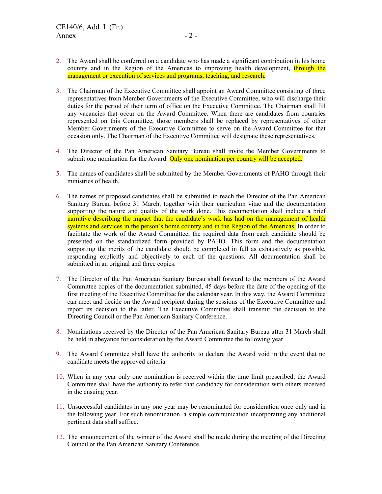- 2. The Award shall be conferred on a candidate who has made a significant contribution in his home country and in the Region of the Americas to improving health development, through the management or execution of services and programs, teaching, and research.
- 3. The Chairman of the Executive Committee shall appoint an Award Committee consisting of three representatives from Member Governments of the Executive Committee, who will discharge their duties for the period of their term of office on the Executive Committee. The Chairman shall fill any vacancies that occur on the Award Committee. When there are candidates from countries represented on this Committee, those members shall be replaced by representatives of other Member Governments of the Executive Committee to serve on the Award Committee for that occasion only. The Chairman of the Executive Committee will designate these representatives.
- 4. The Director of the Pan American Sanitary Bureau shall invite the Member Governments to submit one nomination for the Award. Only one nomination per country will be accepted.
- 5. The names of candidates shall be submitted by the Member Governments of PAHO through their ministries of health.
- 6. The names of proposed candidates shall be submitted to reach the Director of the Pan American Sanitary Bureau before 31 March, together with their curriculum vitae and the documentation supporting the nature and quality of the work done. This documentation shall include a brief narrative describing the impact that the candidate's work has had on the management of health systems and services in the person's home country and in the Region of the Americas. In order to facilitate the work of the Award Committee, the required data from each candidate should be presented on the standardized form provided by PAHO. This form and the documentation supporting the merits of the candidate should be completed in full as exhaustively as possible, responding explicitly and objectively to each of the questions. All documentation shall be submitted in an original and three copies.
- 7. The Director of the Pan American Sanitary Bureau shall forward to the members of the Award Committee copies of the documentation submitted, 45 days before the date of the opening of the first meeting of the Executive Committee for the calendar year. In this way, the Award Committee can meet and decide on the Award recipient during the sessions of the Executive Committee and report its decision to the latter. The Executive Committee shall transmit the decision to the Directing Council or the Pan American Sanitary Conference.
- 8. Nominations received by the Director of the Pan American Sanitary Bureau after 31 March shall be held in abeyance for consideration by the Award Committee the following year.
- 9. The Award Committee shall have the authority to declare the Award void in the event that no candidate meets the approved criteria.
- 10. When in any year only one nomination is received within the time limit prescribed, the Award Committee shall have the authority to refer that candidacy for consideration with others received in the ensuing year.
- 11. Unsuccessful candidates in any one year may be renominated for consideration once only and in the following year. For such renomination, a simple communication incorporating any additional pertinent data shall suffice.
- 12. The announcement of the winner of the Award shall be made during the meeting of the Directing Council or the Pan American Sanitary Conference.